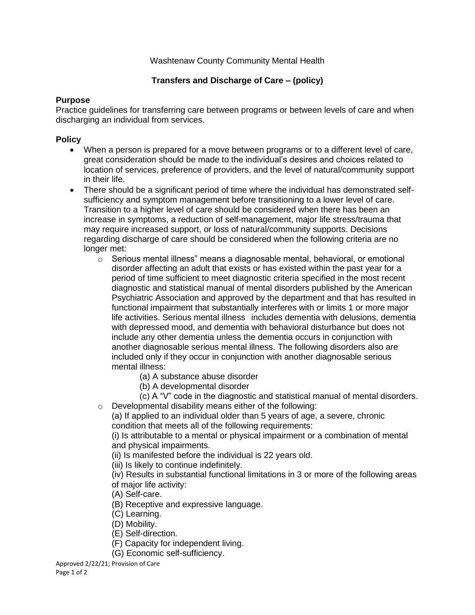## Washtenaw County Community Mental Health

# **Transfers and Discharge of Care – (policy)**

#### **Purpose**

Practice guidelines for transferring care between programs or between levels of care and when discharging an individual from services.

## **Policy**

- When a person is prepared for a move between programs or to a different level of care, great consideration should be made to the individual's desires and choices related to location of services, preference of providers, and the level of natural/community support in their life.
- There should be a significant period of time where the individual has demonstrated selfsufficiency and symptom management before transitioning to a lower level of care. Transition to a higher level of care should be considered when there has been an increase in symptoms, a reduction of self-management, major life stress/trauma that may require increased support, or loss of natural/community supports. Decisions regarding discharge of care should be considered when the following criteria are no longer met:
	- $\circ$  Serious mental illness" means a diagnosable mental, behavioral, or emotional disorder affecting an adult that exists or has existed within the past year for a period of time sufficient to meet diagnostic criteria specified in the most recent diagnostic and statistical manual of mental disorders published by the American Psychiatric Association and approved by the department and that has resulted in functional impairment that substantially interferes with or limits 1 or more major life activities. Serious mental illness includes dementia with delusions, dementia with depressed mood, and dementia with behavioral disturbance but does not include any other dementia unless the dementia occurs in conjunction with another diagnosable serious mental illness. The following disorders also are included only if they occur in conjunction with another diagnosable serious mental illness:
		- (a) A substance abuse disorder
		- (b) A developmental disorder
	- (c) A "V" code in the diagnostic and statistical manual of mental disorders. o Developmental disability means either of the following:

(a) If applied to an individual older than 5 years of age, a severe, chronic condition that meets all of the following requirements:

(i) Is attributable to a mental or physical impairment or a combination of mental and physical impairments.

(ii) Is manifested before the individual is 22 years old.

(iii) Is likely to continue indefinitely.

(iv) Results in substantial functional limitations in 3 or more of the following areas of major life activity:

- (A) Self-care.
- (B) Receptive and expressive language.
- (C) Learning.
- (D) Mobility.
- (E) Self-direction.
- (F) Capacity for independent living.
- (G) Economic self-sufficiency.